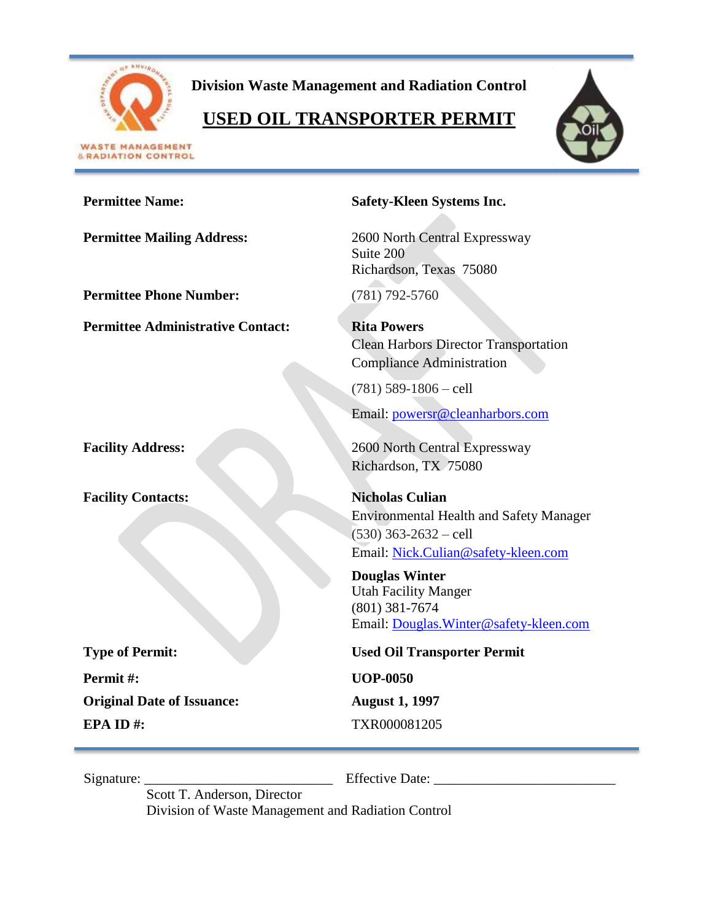

**& RADIATION CONTROL** 

**Division Waste Management and Radiation Control**

# **USED OIL TRANSPORTER PERMIT**



| <b>Permittee Name:</b>                   | <b>Safety-Kleen Systems Inc.</b>                                                                                                                                     |
|------------------------------------------|----------------------------------------------------------------------------------------------------------------------------------------------------------------------|
| <b>Permittee Mailing Address:</b>        | 2600 North Central Expressway<br>Suite 200<br>Richardson, Texas 75080                                                                                                |
| <b>Permittee Phone Number:</b>           | $(781)$ 792-5760                                                                                                                                                     |
| <b>Permittee Administrative Contact:</b> | <b>Rita Powers</b><br><b>Clean Harbors Director Transportation</b><br><b>Compliance Administration</b><br>$(781)$ 589-1806 - cell<br>Email: powersr@cleanharbors.com |
| <b>Facility Address:</b>                 | 2600 North Central Expressway<br>Richardson, TX 75080                                                                                                                |
| <b>Facility Contacts:</b>                | <b>Nicholas Culian</b><br><b>Environmental Health and Safety Manager</b><br>$(530)$ 363-2632 – cell<br>Email: Nick.Culian@safety-kleen.com<br><b>Douglas Winter</b>  |
|                                          | <b>Utah Facility Manger</b><br>$(801)$ 381-7674<br>Email: Douglas. Winter@safety-kleen.com                                                                           |
| <b>Type of Permit:</b>                   | <b>Used Oil Transporter Permit</b>                                                                                                                                   |
| Permit#:                                 | <b>UOP-0050</b>                                                                                                                                                      |
| <b>Original Date of Issuance:</b>        | <b>August 1, 1997</b>                                                                                                                                                |
| EPA ID#:                                 | TXR000081205                                                                                                                                                         |

Signature: \_\_\_\_\_\_\_\_\_\_\_\_\_\_\_\_\_\_\_\_\_\_\_\_\_\_\_ Effective Date: \_\_\_\_\_\_\_\_\_\_\_\_\_\_\_\_\_\_\_\_\_\_\_\_\_\_

Scott T. Anderson, Director

Division of Waste Management and Radiation Control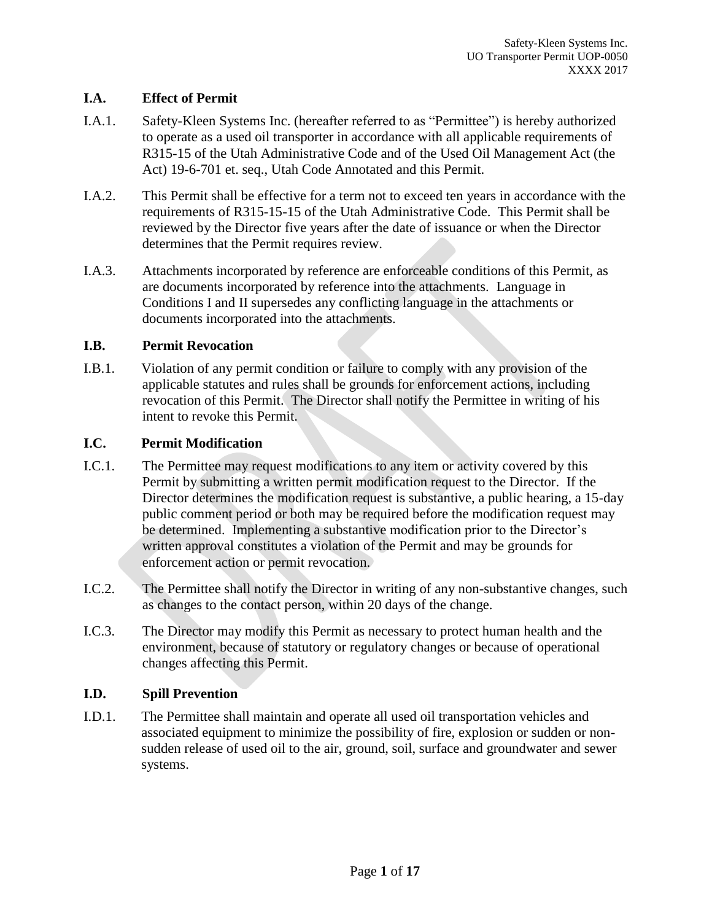# **I.A. Effect of Permit**

- I.A.1. Safety-Kleen Systems Inc. (hereafter referred to as "Permittee") is hereby authorized to operate as a used oil transporter in accordance with all applicable requirements of R315-15 of the Utah Administrative Code and of the Used Oil Management Act (the Act) 19-6-701 et. seq., Utah Code Annotated and this Permit.
- I.A.2. This Permit shall be effective for a term not to exceed ten years in accordance with the requirements of R315-15-15 of the Utah Administrative Code. This Permit shall be reviewed by the Director five years after the date of issuance or when the Director determines that the Permit requires review.
- I.A.3. Attachments incorporated by reference are enforceable conditions of this Permit, as are documents incorporated by reference into the attachments. Language in Conditions I and II supersedes any conflicting language in the attachments or documents incorporated into the attachments.

# **I.B. Permit Revocation**

I.B.1. Violation of any permit condition or failure to comply with any provision of the applicable statutes and rules shall be grounds for enforcement actions, including revocation of this Permit. The Director shall notify the Permittee in writing of his intent to revoke this Permit.

# **I.C. Permit Modification**

- I.C.1. The Permittee may request modifications to any item or activity covered by this Permit by submitting a written permit modification request to the Director. If the Director determines the modification request is substantive, a public hearing, a 15-day public comment period or both may be required before the modification request may be determined. Implementing a substantive modification prior to the Director's written approval constitutes a violation of the Permit and may be grounds for enforcement action or permit revocation.
- I.C.2. The Permittee shall notify the Director in writing of any non-substantive changes, such as changes to the contact person, within 20 days of the change.
- I.C.3. The Director may modify this Permit as necessary to protect human health and the environment, because of statutory or regulatory changes or because of operational changes affecting this Permit.

# **I.D. Spill Prevention**

I.D.1. The Permittee shall maintain and operate all used oil transportation vehicles and associated equipment to minimize the possibility of fire, explosion or sudden or nonsudden release of used oil to the air, ground, soil, surface and groundwater and sewer systems.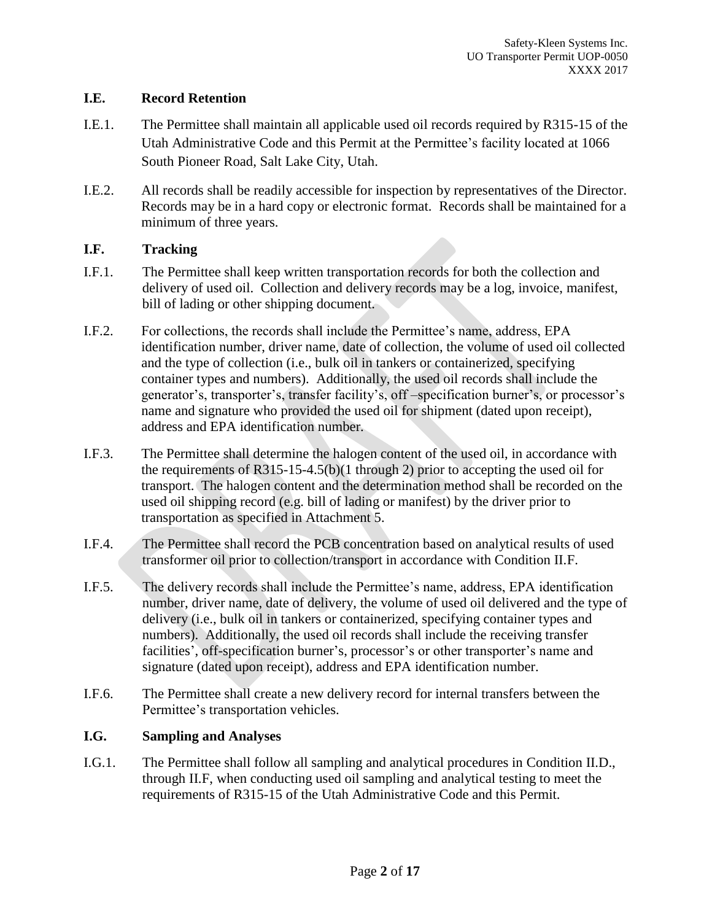### **I.E. Record Retention**

- I.E.1. The Permittee shall maintain all applicable used oil records required by R315-15 of the Utah Administrative Code and this Permit at the Permittee's facility located at 1066 South Pioneer Road, Salt Lake City, Utah.
- I.E.2. All records shall be readily accessible for inspection by representatives of the Director. Records may be in a hard copy or electronic format. Records shall be maintained for a minimum of three years.

# **I.F. Tracking**

- I.F.1. The Permittee shall keep written transportation records for both the collection and delivery of used oil. Collection and delivery records may be a log, invoice, manifest, bill of lading or other shipping document.
- I.F.2. For collections, the records shall include the Permittee's name, address, EPA identification number, driver name, date of collection, the volume of used oil collected and the type of collection (i.e., bulk oil in tankers or containerized, specifying container types and numbers). Additionally, the used oil records shall include the generator's, transporter's, transfer facility's, off –specification burner's, or processor's name and signature who provided the used oil for shipment (dated upon receipt), address and EPA identification number.
- I.F.3. The Permittee shall determine the halogen content of the used oil, in accordance with the requirements of R315-15-4.5(b)(1 through 2) prior to accepting the used oil for transport. The halogen content and the determination method shall be recorded on the used oil shipping record (e.g. bill of lading or manifest) by the driver prior to transportation as specified in Attachment 5.
- I.F.4. The Permittee shall record the PCB concentration based on analytical results of used transformer oil prior to collection/transport in accordance with Condition II.F.
- I.F.5. The delivery records shall include the Permittee's name, address, EPA identification number, driver name, date of delivery, the volume of used oil delivered and the type of delivery (i.e., bulk oil in tankers or containerized, specifying container types and numbers). Additionally, the used oil records shall include the receiving transfer facilities', off-specification burner's, processor's or other transporter's name and signature (dated upon receipt), address and EPA identification number.
- I.F.6. The Permittee shall create a new delivery record for internal transfers between the Permittee's transportation vehicles.

# **I.G. Sampling and Analyses**

I.G.1. The Permittee shall follow all sampling and analytical procedures in Condition II.D., through II.F, when conducting used oil sampling and analytical testing to meet the requirements of R315-15 of the Utah Administrative Code and this Permit.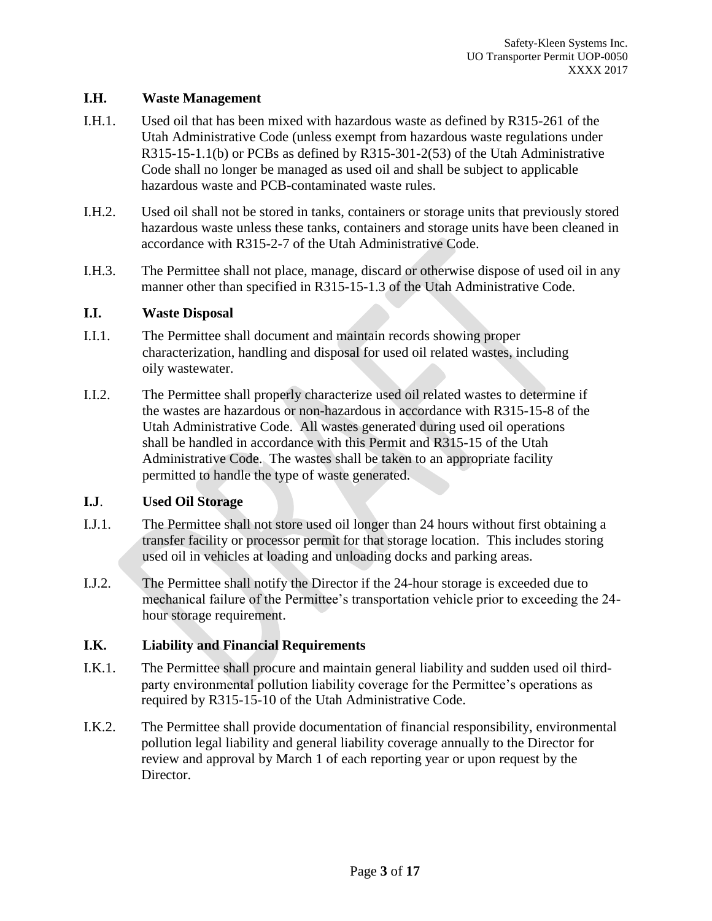### **I.H. Waste Management**

- I.H.1. Used oil that has been mixed with hazardous waste as defined by R315-261 of the Utah Administrative Code (unless exempt from hazardous waste regulations under R315-15-1.1(b) or PCBs as defined by R315-301-2(53) of the Utah Administrative Code shall no longer be managed as used oil and shall be subject to applicable hazardous waste and PCB-contaminated waste rules.
- I.H.2. Used oil shall not be stored in tanks, containers or storage units that previously stored hazardous waste unless these tanks, containers and storage units have been cleaned in accordance with R315-2-7 of the Utah Administrative Code.
- I.H.3. The Permittee shall not place, manage, discard or otherwise dispose of used oil in any manner other than specified in R315-15-1.3 of the Utah Administrative Code.

#### **I.I. Waste Disposal**

- I.I.1. The Permittee shall document and maintain records showing proper characterization, handling and disposal for used oil related wastes, including oily wastewater.
- I.I.2. The Permittee shall properly characterize used oil related wastes to determine if the wastes are hazardous or non-hazardous in accordance with R315-15-8 of the Utah Administrative Code. All wastes generated during used oil operations shall be handled in accordance with this Permit and R315-15 of the Utah Administrative Code. The wastes shall be taken to an appropriate facility permitted to handle the type of waste generated.

# **I.J**. **Used Oil Storage**

- I.J.1. The Permittee shall not store used oil longer than 24 hours without first obtaining a transfer facility or processor permit for that storage location. This includes storing used oil in vehicles at loading and unloading docks and parking areas.
- I.J.2. The Permittee shall notify the Director if the 24-hour storage is exceeded due to mechanical failure of the Permittee's transportation vehicle prior to exceeding the 24 hour storage requirement.

# **I.K. Liability and Financial Requirements**

- I.K.1. The Permittee shall procure and maintain general liability and sudden used oil thirdparty environmental pollution liability coverage for the Permittee's operations as required by R315-15-10 of the Utah Administrative Code.
- I.K.2. The Permittee shall provide documentation of financial responsibility, environmental pollution legal liability and general liability coverage annually to the Director for review and approval by March 1 of each reporting year or upon request by the Director.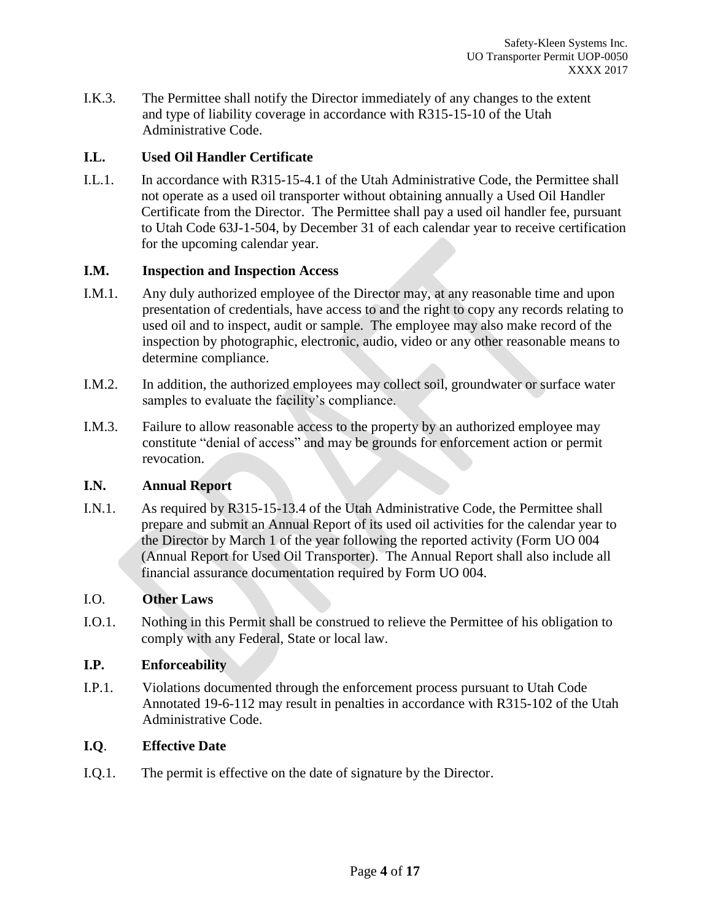I.K.3. The Permittee shall notify the Director immediately of any changes to the extent and type of liability coverage in accordance with R315-15-10 of the Utah Administrative Code.

### **I.L. Used Oil Handler Certificate**

I.L.1. In accordance with R315-15-4.1 of the Utah Administrative Code, the Permittee shall not operate as a used oil transporter without obtaining annually a Used Oil Handler Certificate from the Director. The Permittee shall pay a used oil handler fee, pursuant to Utah Code 63J-1-504, by December 31 of each calendar year to receive certification for the upcoming calendar year.

#### **I.M. Inspection and Inspection Access**

- I.M.1. Any duly authorized employee of the Director may, at any reasonable time and upon presentation of credentials, have access to and the right to copy any records relating to used oil and to inspect, audit or sample. The employee may also make record of the inspection by photographic, electronic, audio, video or any other reasonable means to determine compliance.
- I.M.2. In addition, the authorized employees may collect soil, groundwater or surface water samples to evaluate the facility's compliance.
- I.M.3. Failure to allow reasonable access to the property by an authorized employee may constitute "denial of access" and may be grounds for enforcement action or permit revocation.

### **I.N. Annual Report**

I.N.1. As required by R315-15-13.4 of the Utah Administrative Code, the Permittee shall prepare and submit an Annual Report of its used oil activities for the calendar year to the Director by March 1 of the year following the reported activity (Form UO 004 (Annual Report for Used Oil Transporter). The Annual Report shall also include all financial assurance documentation required by Form UO 004.

#### I.O. **Other Laws**

I.O.1. Nothing in this Permit shall be construed to relieve the Permittee of his obligation to comply with any Federal, State or local law.

#### **I.P. Enforceability**

I.P.1. Violations documented through the enforcement process pursuant to Utah Code Annotated 19-6-112 may result in penalties in accordance with R315-102 of the Utah Administrative Code.

#### **I.Q**. **Effective Date**

I.Q.1. The permit is effective on the date of signature by the Director.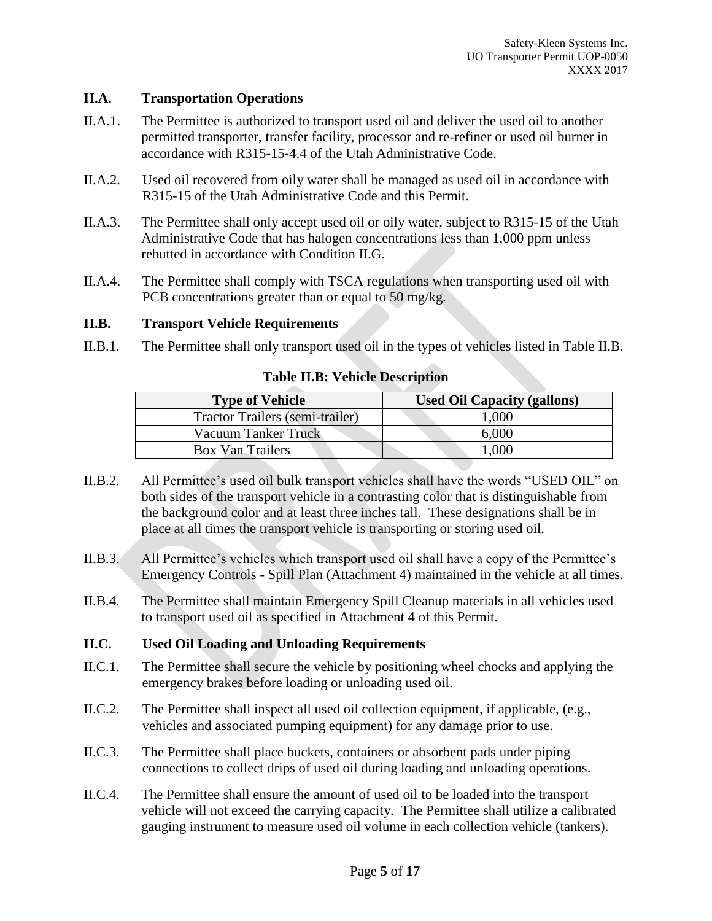#### **II.A. Transportation Operations**

- II.A.1. The Permittee is authorized to transport used oil and deliver the used oil to another permitted transporter, transfer facility, processor and re-refiner or used oil burner in accordance with R315-15-4.4 of the Utah Administrative Code.
- II.A.2. Used oil recovered from oily water shall be managed as used oil in accordance with R315-15 of the Utah Administrative Code and this Permit.
- II.A.3. The Permittee shall only accept used oil or oily water, subject to R315-15 of the Utah Administrative Code that has halogen concentrations less than 1,000 ppm unless rebutted in accordance with Condition II.G.
- II.A.4. The Permittee shall comply with TSCA regulations when transporting used oil with PCB concentrations greater than or equal to 50 mg/kg.

### **II.B. Transport Vehicle Requirements**

II.B.1. The Permittee shall only transport used oil in the types of vehicles listed in Table II.B.

| <b>Type of Vehicle</b>          | <b>Used Oil Capacity (gallons)</b> |
|---------------------------------|------------------------------------|
| Tractor Trailers (semi-trailer) | 1,000                              |
| <b>Vacuum Tanker Truck</b>      | 6,000                              |
| <b>Box Van Trailers</b>         | 1,000                              |

#### **Table II.B: Vehicle Description**

- II.B.2. All Permittee's used oil bulk transport vehicles shall have the words "USED OIL" on both sides of the transport vehicle in a contrasting color that is distinguishable from the background color and at least three inches tall. These designations shall be in place at all times the transport vehicle is transporting or storing used oil.
- II.B.3. All Permittee's vehicles which transport used oil shall have a copy of the Permittee's Emergency Controls - Spill Plan (Attachment 4) maintained in the vehicle at all times.
- II.B.4. The Permittee shall maintain Emergency Spill Cleanup materials in all vehicles used to transport used oil as specified in Attachment 4 of this Permit.

#### **II.C. Used Oil Loading and Unloading Requirements**

- II.C.1. The Permittee shall secure the vehicle by positioning wheel chocks and applying the emergency brakes before loading or unloading used oil.
- II.C.2. The Permittee shall inspect all used oil collection equipment, if applicable, (e.g., vehicles and associated pumping equipment) for any damage prior to use.
- II.C.3. The Permittee shall place buckets, containers or absorbent pads under piping connections to collect drips of used oil during loading and unloading operations.
- II.C.4. The Permittee shall ensure the amount of used oil to be loaded into the transport vehicle will not exceed the carrying capacity. The Permittee shall utilize a calibrated gauging instrument to measure used oil volume in each collection vehicle (tankers).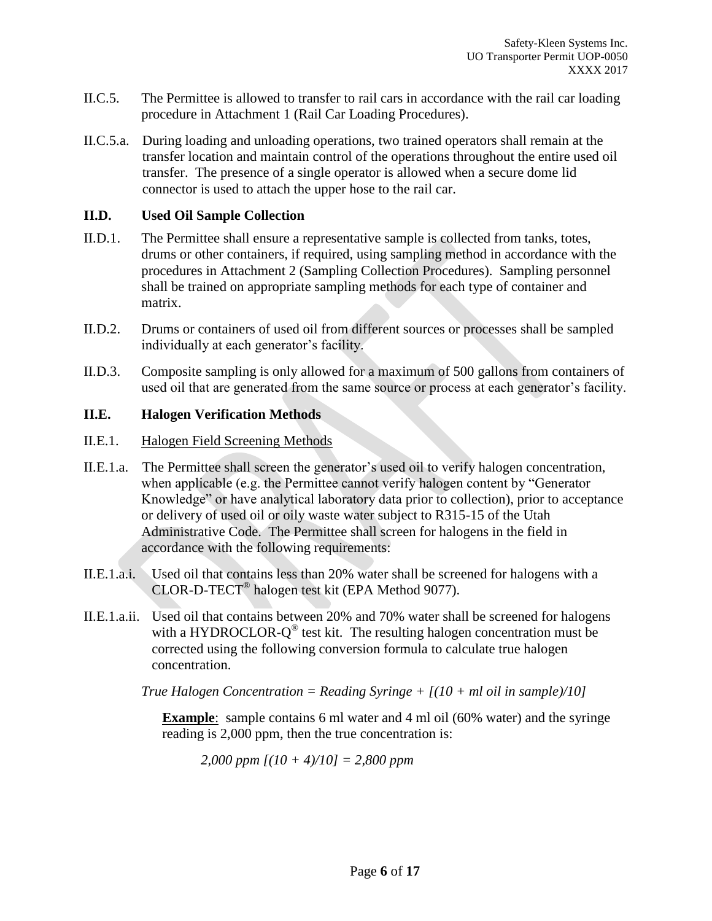- II.C.5. The Permittee is allowed to transfer to rail cars in accordance with the rail car loading procedure in Attachment 1 (Rail Car Loading Procedures).
- II.C.5.a. During loading and unloading operations, two trained operators shall remain at the transfer location and maintain control of the operations throughout the entire used oil transfer. The presence of a single operator is allowed when a secure dome lid connector is used to attach the upper hose to the rail car.

#### **II.D. Used Oil Sample Collection**

- II.D.1. The Permittee shall ensure a representative sample is collected from tanks, totes, drums or other containers, if required, using sampling method in accordance with the procedures in Attachment 2 (Sampling Collection Procedures). Sampling personnel shall be trained on appropriate sampling methods for each type of container and matrix.
- II.D.2. Drums or containers of used oil from different sources or processes shall be sampled individually at each generator's facility.
- II.D.3. Composite sampling is only allowed for a maximum of 500 gallons from containers of used oil that are generated from the same source or process at each generator's facility.

### **II.E. Halogen Verification Methods**

- II.E.1. Halogen Field Screening Methods
- II.E.1.a. The Permittee shall screen the generator's used oil to verify halogen concentration, when applicable (e.g. the Permittee cannot verify halogen content by "Generator Knowledge" or have analytical laboratory data prior to collection), prior to acceptance or delivery of used oil or oily waste water subject to R315-15 of the Utah Administrative Code. The Permittee shall screen for halogens in the field in accordance with the following requirements:
- II.E.1.a.i. Used oil that contains less than 20% water shall be screened for halogens with a CLOR-D-TECT® halogen test kit (EPA Method 9077).
- II.E.1.a.ii. Used oil that contains between 20% and 70% water shall be screened for halogens with a HYDROCLOR- $Q^{\circledast}$  test kit. The resulting halogen concentration must be corrected using the following conversion formula to calculate true halogen concentration.

*True Halogen Concentration = Reading Syringe + [(10 + ml oil in sample)/10]*

**Example**: sample contains 6 ml water and 4 ml oil (60% water) and the syringe reading is 2,000 ppm, then the true concentration is:

*2,000 ppm [(10 + 4)/10] = 2,800 ppm*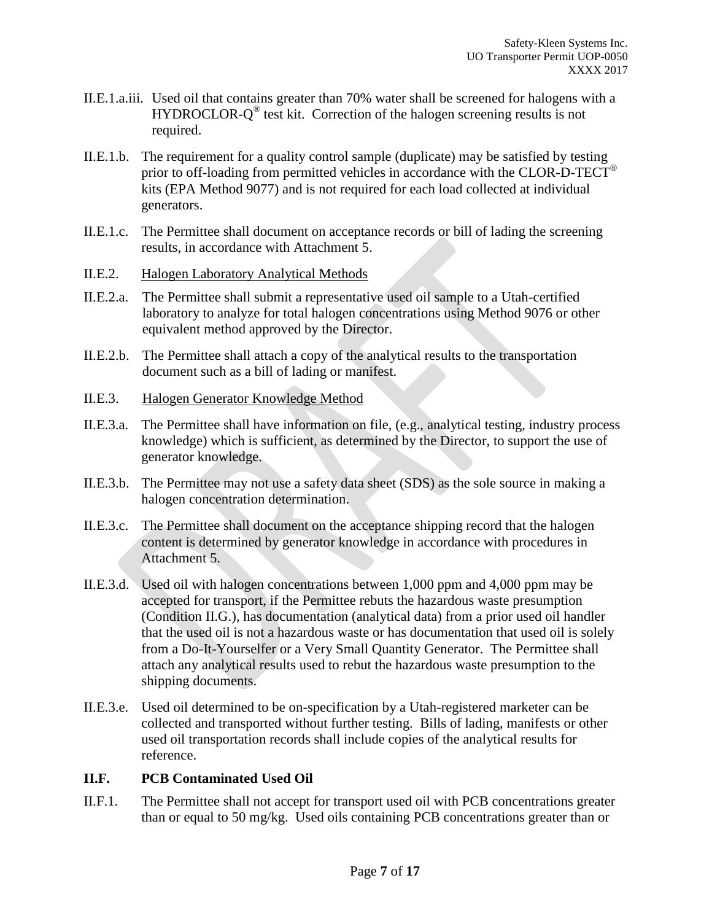- II.E.1.a.iii. Used oil that contains greater than 70% water shall be screened for halogens with a HYDROCLOR-Q<sup>®</sup> test kit. Correction of the halogen screening results is not required.
- II.E.1.b. The requirement for a quality control sample (duplicate) may be satisfied by testing prior to off-loading from permitted vehicles in accordance with the CLOR-D-TECT<sup>®</sup> kits (EPA Method 9077) and is not required for each load collected at individual generators.
- II.E.1.c. The Permittee shall document on acceptance records or bill of lading the screening results, in accordance with Attachment 5.
- II.E.2. Halogen Laboratory Analytical Methods
- II.E.2.a. The Permittee shall submit a representative used oil sample to a Utah-certified laboratory to analyze for total halogen concentrations using Method 9076 or other equivalent method approved by the Director.
- II.E.2.b. The Permittee shall attach a copy of the analytical results to the transportation document such as a bill of lading or manifest.
- II.E.3. Halogen Generator Knowledge Method
- II.E.3.a. The Permittee shall have information on file, (e.g., analytical testing, industry process knowledge) which is sufficient, as determined by the Director, to support the use of generator knowledge.
- II.E.3.b. The Permittee may not use a safety data sheet (SDS) as the sole source in making a halogen concentration determination.
- II.E.3.c. The Permittee shall document on the acceptance shipping record that the halogen content is determined by generator knowledge in accordance with procedures in Attachment 5.
- II.E.3.d. Used oil with halogen concentrations between 1,000 ppm and 4,000 ppm may be accepted for transport, if the Permittee rebuts the hazardous waste presumption (Condition II.G.), has documentation (analytical data) from a prior used oil handler that the used oil is not a hazardous waste or has documentation that used oil is solely from a Do-It-Yourselfer or a Very Small Quantity Generator. The Permittee shall attach any analytical results used to rebut the hazardous waste presumption to the shipping documents.
- II.E.3.e. Used oil determined to be on-specification by a Utah-registered marketer can be collected and transported without further testing. Bills of lading, manifests or other used oil transportation records shall include copies of the analytical results for reference.

# **II.F. PCB Contaminated Used Oil**

II.F.1. The Permittee shall not accept for transport used oil with PCB concentrations greater than or equal to 50 mg/kg. Used oils containing PCB concentrations greater than or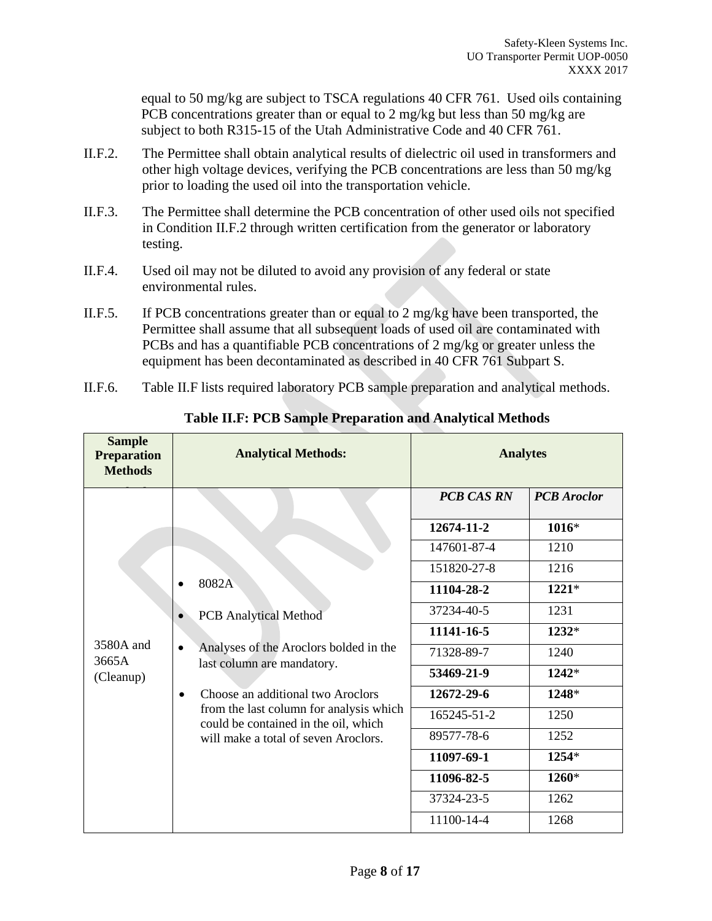equal to 50 mg/kg are subject to TSCA regulations 40 CFR 761. Used oils containing PCB concentrations greater than or equal to 2 mg/kg but less than 50 mg/kg are subject to both R315-15 of the Utah Administrative Code and 40 CFR 761.

- II.F.2. The Permittee shall obtain analytical results of dielectric oil used in transformers and other high voltage devices, verifying the PCB concentrations are less than 50 mg/kg prior to loading the used oil into the transportation vehicle.
- II.F.3. The Permittee shall determine the PCB concentration of other used oils not specified in Condition II.F.2 through written certification from the generator or laboratory testing.
- II.F.4. Used oil may not be diluted to avoid any provision of any federal or state environmental rules.
- II.F.5. If PCB concentrations greater than or equal to 2 mg/kg have been transported, the Permittee shall assume that all subsequent loads of used oil are contaminated with PCBs and has a quantifiable PCB concentrations of 2 mg/kg or greater unless the equipment has been decontaminated as described in 40 CFR 761 Subpart S.
- II.F.6. Table II.F lists required laboratory PCB sample preparation and analytical methods.

| <b>Sample</b><br><b>Preparation</b><br><b>Methods</b>                                                                                                                                                         | <b>Analytical Methods:</b>                                                                                                | <b>Analytes</b>   |                    |
|---------------------------------------------------------------------------------------------------------------------------------------------------------------------------------------------------------------|---------------------------------------------------------------------------------------------------------------------------|-------------------|--------------------|
|                                                                                                                                                                                                               |                                                                                                                           | <b>PCB CAS RN</b> | <b>PCB</b> Aroclor |
| 8082A<br><b>PCB</b> Analytical Method<br>3580A and<br>$\bullet$<br>3665A<br>last column are mandatory.<br>(Cleanup)<br>Choose an additional two Aroclors<br>$\bullet$<br>will make a total of seven Aroclors. |                                                                                                                           | 12674-11-2        | $1016*$            |
|                                                                                                                                                                                                               |                                                                                                                           | 147601-87-4       | 1210               |
|                                                                                                                                                                                                               |                                                                                                                           | 151820-27-8       | 1216               |
|                                                                                                                                                                                                               |                                                                                                                           | 11104-28-2        | $1221*$            |
|                                                                                                                                                                                                               |                                                                                                                           | 37234-40-5        | 1231               |
|                                                                                                                                                                                                               |                                                                                                                           | 11141-16-5        | $1232*$            |
|                                                                                                                                                                                                               | Analyses of the Aroclors bolded in the<br>from the last column for analysis which<br>could be contained in the oil, which | 71328-89-7        | 1240               |
|                                                                                                                                                                                                               |                                                                                                                           | 53469-21-9        | 1242*              |
|                                                                                                                                                                                                               |                                                                                                                           | 12672-29-6        | 1248*              |
|                                                                                                                                                                                                               |                                                                                                                           | 165245-51-2       | 1250               |
|                                                                                                                                                                                                               |                                                                                                                           | 89577-78-6        | 1252               |
|                                                                                                                                                                                                               |                                                                                                                           | 11097-69-1        | $1254*$            |
|                                                                                                                                                                                                               |                                                                                                                           | 11096-82-5        | 1260*              |
|                                                                                                                                                                                                               |                                                                                                                           | 37324-23-5        | 1262               |
|                                                                                                                                                                                                               |                                                                                                                           | 11100-14-4        | 1268               |

**Table II.F: PCB Sample Preparation and Analytical Methods**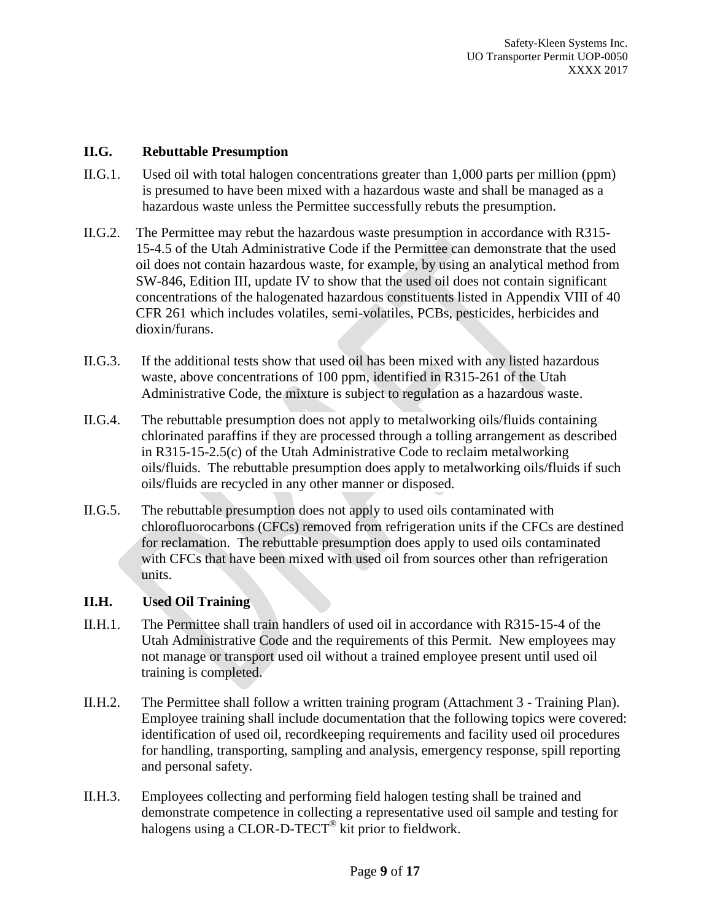### **II.G. Rebuttable Presumption**

- II.G.1. Used oil with total halogen concentrations greater than 1,000 parts per million (ppm) is presumed to have been mixed with a hazardous waste and shall be managed as a hazardous waste unless the Permittee successfully rebuts the presumption.
- II.G.2. The Permittee may rebut the hazardous waste presumption in accordance with R315- 15-4.5 of the Utah Administrative Code if the Permittee can demonstrate that the used oil does not contain hazardous waste, for example, by using an analytical method from SW-846, Edition III, update IV to show that the used oil does not contain significant concentrations of the halogenated hazardous constituents listed in Appendix VIII of 40 CFR 261 which includes volatiles, semi-volatiles, PCBs, pesticides, herbicides and dioxin/furans.
- II.G.3. If the additional tests show that used oil has been mixed with any listed hazardous waste, above concentrations of 100 ppm, identified in R315-261 of the Utah Administrative Code, the mixture is subject to regulation as a hazardous waste.
- II.G.4. The rebuttable presumption does not apply to metalworking oils/fluids containing chlorinated paraffins if they are processed through a tolling arrangement as described in R315-15-2.5(c) of the Utah Administrative Code to reclaim metalworking oils/fluids. The rebuttable presumption does apply to metalworking oils/fluids if such oils/fluids are recycled in any other manner or disposed.
- II.G.5. The rebuttable presumption does not apply to used oils contaminated with chlorofluorocarbons (CFCs) removed from refrigeration units if the CFCs are destined for reclamation. The rebuttable presumption does apply to used oils contaminated with CFCs that have been mixed with used oil from sources other than refrigeration units.

# **II.H. Used Oil Training**

- II.H.1. The Permittee shall train handlers of used oil in accordance with R315-15-4 of the Utah Administrative Code and the requirements of this Permit. New employees may not manage or transport used oil without a trained employee present until used oil training is completed.
- II.H.2. The Permittee shall follow a written training program (Attachment 3 Training Plan). Employee training shall include documentation that the following topics were covered: identification of used oil, recordkeeping requirements and facility used oil procedures for handling, transporting, sampling and analysis, emergency response, spill reporting and personal safety.
- II.H.3. Employees collecting and performing field halogen testing shall be trained and demonstrate competence in collecting a representative used oil sample and testing for halogens using a CLOR-D-TECT<sup>®</sup> kit prior to fieldwork.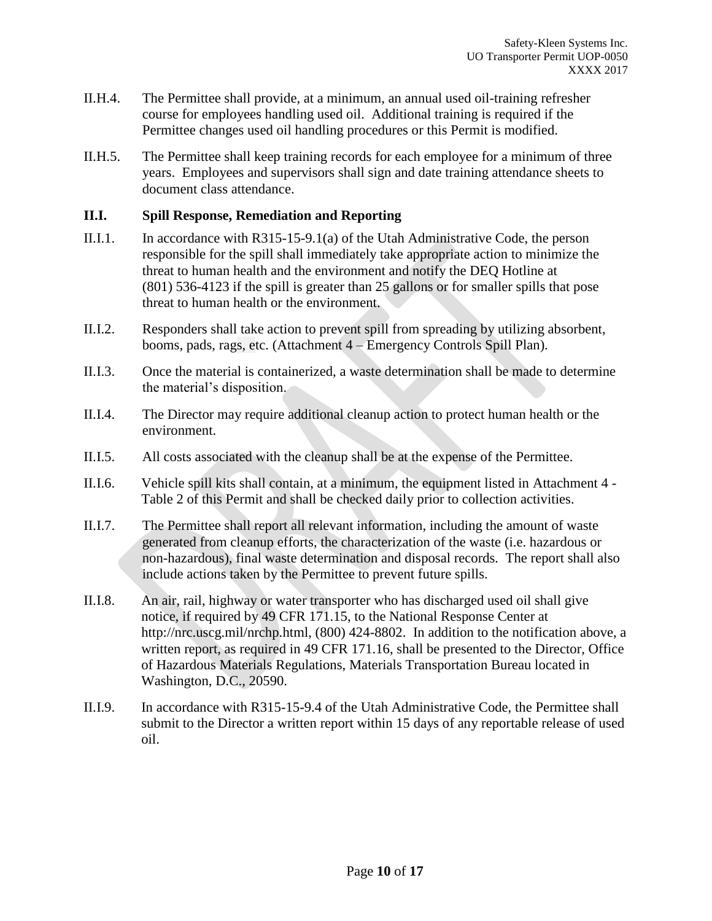- II.H.4. The Permittee shall provide, at a minimum, an annual used oil-training refresher course for employees handling used oil. Additional training is required if the Permittee changes used oil handling procedures or this Permit is modified.
- II.H.5. The Permittee shall keep training records for each employee for a minimum of three years. Employees and supervisors shall sign and date training attendance sheets to document class attendance.

#### **II.I. Spill Response, Remediation and Reporting**

- II.I.1. In accordance with R315-15-9.1(a) of the Utah Administrative Code, the person responsible for the spill shall immediately take appropriate action to minimize the threat to human health and the environment and notify the DEQ Hotline at (801) 536-4123 if the spill is greater than 25 gallons or for smaller spills that pose threat to human health or the environment.
- II.I.2. Responders shall take action to prevent spill from spreading by utilizing absorbent, booms, pads, rags, etc. (Attachment 4 – Emergency Controls Spill Plan).
- II.I.3. Once the material is containerized, a waste determination shall be made to determine the material's disposition.
- II.I.4. The Director may require additional cleanup action to protect human health or the environment.
- II.I.5. All costs associated with the cleanup shall be at the expense of the Permittee.
- II.I.6. Vehicle spill kits shall contain, at a minimum, the equipment listed in Attachment 4 Table 2 of this Permit and shall be checked daily prior to collection activities.
- II.I.7. The Permittee shall report all relevant information, including the amount of waste generated from cleanup efforts, the characterization of the waste (i.e. hazardous or non-hazardous), final waste determination and disposal records. The report shall also include actions taken by the Permittee to prevent future spills.
- II.I.8. An air, rail, highway or water transporter who has discharged used oil shall give notice, if required by 49 CFR 171.15, to the National Response Center at http://nrc.uscg.mil/nrchp.html, (800) 424-8802. In addition to the notification above, a written report, as required in 49 CFR 171.16, shall be presented to the Director, Office of Hazardous Materials Regulations, Materials Transportation Bureau located in Washington, D.C., 20590.
- II.I.9. In accordance with R315-15-9.4 of the Utah Administrative Code, the Permittee shall submit to the Director a written report within 15 days of any reportable release of used oil.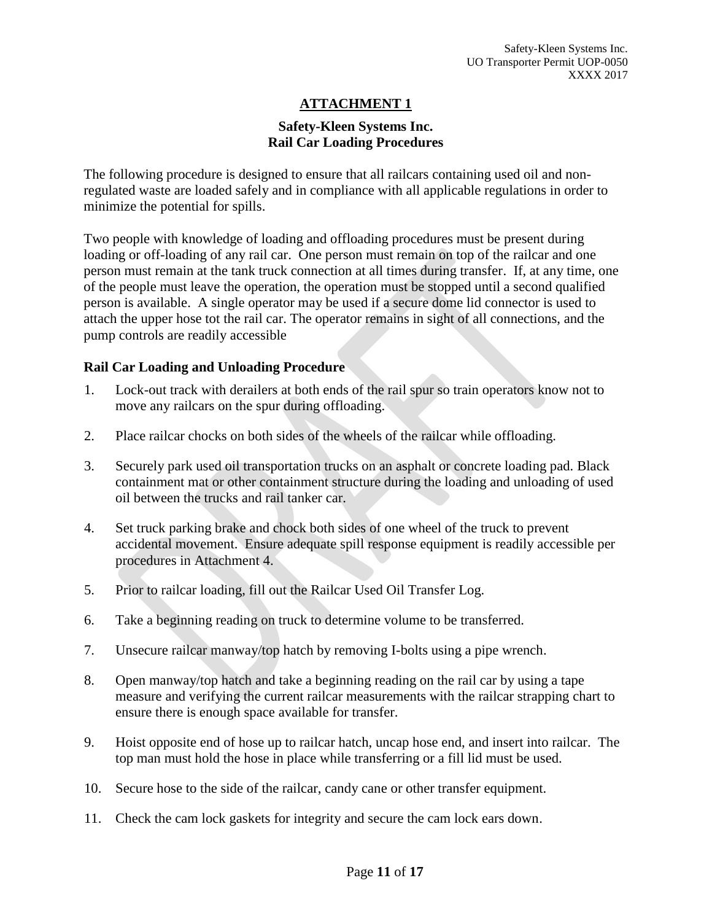# **Safety-Kleen Systems Inc. Rail Car Loading Procedures**

The following procedure is designed to ensure that all railcars containing used oil and nonregulated waste are loaded safely and in compliance with all applicable regulations in order to minimize the potential for spills.

Two people with knowledge of loading and offloading procedures must be present during loading or off-loading of any rail car. One person must remain on top of the railcar and one person must remain at the tank truck connection at all times during transfer. If, at any time, one of the people must leave the operation, the operation must be stopped until a second qualified person is available. A single operator may be used if a secure dome lid connector is used to attach the upper hose tot the rail car. The operator remains in sight of all connections, and the pump controls are readily accessible

#### **Rail Car Loading and Unloading Procedure**

- 1. Lock-out track with derailers at both ends of the rail spur so train operators know not to move any railcars on the spur during offloading.
- 2. Place railcar chocks on both sides of the wheels of the railcar while offloading.
- 3. Securely park used oil transportation trucks on an asphalt or concrete loading pad. Black containment mat or other containment structure during the loading and unloading of used oil between the trucks and rail tanker car.
- 4. Set truck parking brake and chock both sides of one wheel of the truck to prevent accidental movement. Ensure adequate spill response equipment is readily accessible per procedures in Attachment 4.
- 5. Prior to railcar loading, fill out the Railcar Used Oil Transfer Log.
- 6. Take a beginning reading on truck to determine volume to be transferred.
- 7. Unsecure railcar manway/top hatch by removing I-bolts using a pipe wrench.
- 8. Open manway/top hatch and take a beginning reading on the rail car by using a tape measure and verifying the current railcar measurements with the railcar strapping chart to ensure there is enough space available for transfer.
- 9. Hoist opposite end of hose up to railcar hatch, uncap hose end, and insert into railcar. The top man must hold the hose in place while transferring or a fill lid must be used.
- 10. Secure hose to the side of the railcar, candy cane or other transfer equipment.
- 11. Check the cam lock gaskets for integrity and secure the cam lock ears down.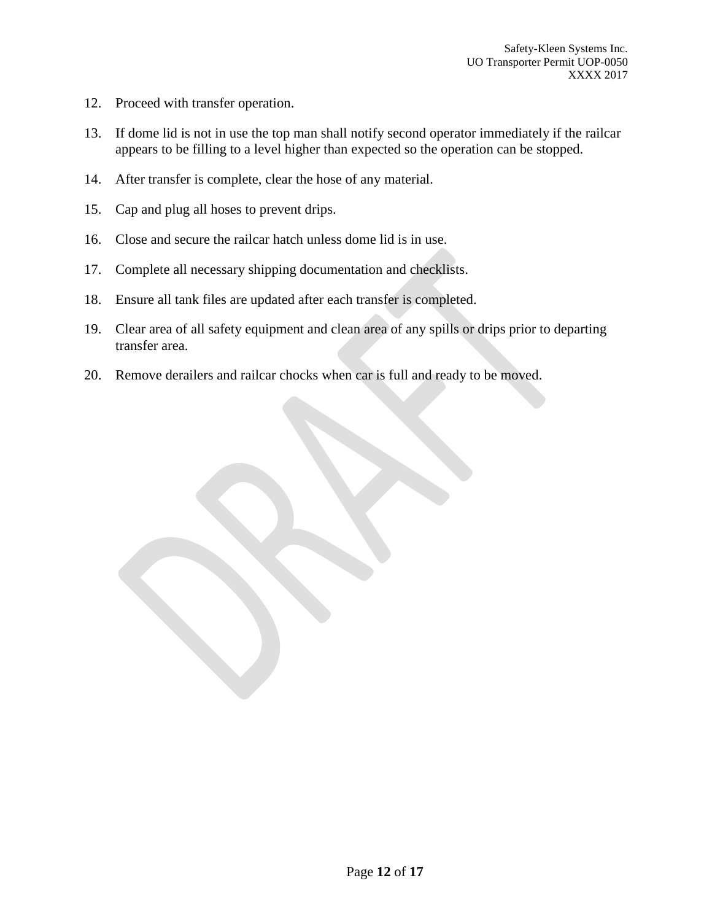- 12. Proceed with transfer operation.
- 13. If dome lid is not in use the top man shall notify second operator immediately if the railcar appears to be filling to a level higher than expected so the operation can be stopped.
- 14. After transfer is complete, clear the hose of any material.
- 15. Cap and plug all hoses to prevent drips.
- 16. Close and secure the railcar hatch unless dome lid is in use.
- 17. Complete all necessary shipping documentation and checklists.
- 18. Ensure all tank files are updated after each transfer is completed.
- 19. Clear area of all safety equipment and clean area of any spills or drips prior to departing transfer area.
- 20. Remove derailers and railcar chocks when car is full and ready to be moved.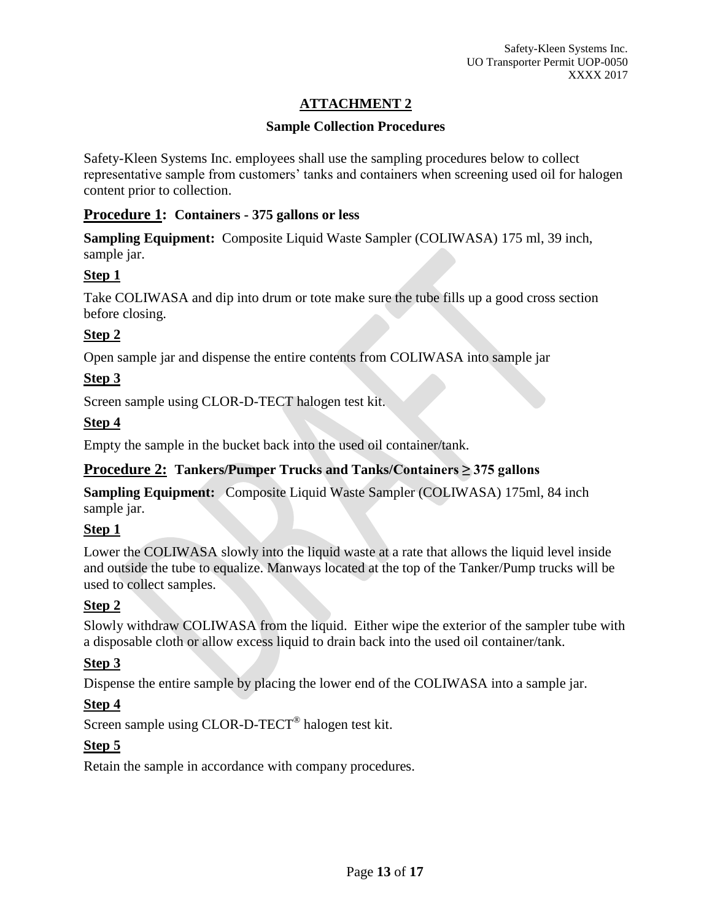# **Sample Collection Procedures**

Safety-Kleen Systems Inc. employees shall use the sampling procedures below to collect representative sample from customers' tanks and containers when screening used oil for halogen content prior to collection.

# **Procedure 1: Containers - 375 gallons or less**

**Sampling Equipment:** Composite Liquid Waste Sampler (COLIWASA) 175 ml, 39 inch, sample jar.

# **Step 1**

Take COLIWASA and dip into drum or tote make sure the tube fills up a good cross section before closing.

# **Step 2**

Open sample jar and dispense the entire contents from COLIWASA into sample jar

# **Step 3**

Screen sample using CLOR-D-TECT halogen test kit.

# **Step 4**

Empty the sample in the bucket back into the used oil container/tank.

# **Procedure 2: Tankers/Pumper Trucks and Tanks/Containers ≥ 375 gallons**

**Sampling Equipment:** Composite Liquid Waste Sampler (COLIWASA) 175ml, 84 inch sample jar.

# **Step 1**

Lower the COLIWASA slowly into the liquid waste at a rate that allows the liquid level inside and outside the tube to equalize. Manways located at the top of the Tanker/Pump trucks will be used to collect samples.

# **Step 2**

Slowly withdraw COLIWASA from the liquid. Either wipe the exterior of the sampler tube with a disposable cloth or allow excess liquid to drain back into the used oil container/tank.

# **Step 3**

Dispense the entire sample by placing the lower end of the COLIWASA into a sample jar.

# **Step 4**

Screen sample using CLOR-D-TECT<sup>®</sup> halogen test kit.

# **Step 5**

Retain the sample in accordance with company procedures.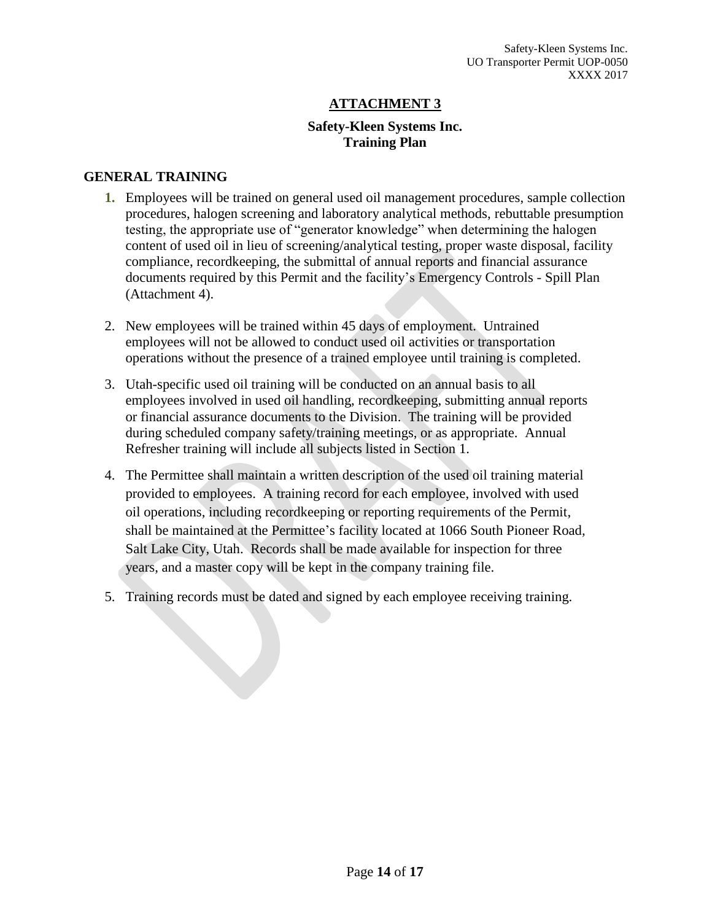# **Safety-Kleen Systems Inc. Training Plan**

#### **GENERAL TRAINING**

- **1.** Employees will be trained on general used oil management procedures, sample collection procedures, halogen screening and laboratory analytical methods, rebuttable presumption testing, the appropriate use of "generator knowledge" when determining the halogen content of used oil in lieu of screening/analytical testing, proper waste disposal, facility compliance, recordkeeping, the submittal of annual reports and financial assurance documents required by this Permit and the facility's Emergency Controls - Spill Plan (Attachment 4).
- 2. New employees will be trained within 45 days of employment. Untrained employees will not be allowed to conduct used oil activities or transportation operations without the presence of a trained employee until training is completed.
- 3. Utah-specific used oil training will be conducted on an annual basis to all employees involved in used oil handling, recordkeeping, submitting annual reports or financial assurance documents to the Division. The training will be provided during scheduled company safety/training meetings, or as appropriate. Annual Refresher training will include all subjects listed in Section 1.
- 4. The Permittee shall maintain a written description of the used oil training material provided to employees. A training record for each employee, involved with used oil operations, including recordkeeping or reporting requirements of the Permit, shall be maintained at the Permittee's facility located at 1066 South Pioneer Road, Salt Lake City, Utah. Records shall be made available for inspection for three years, and a master copy will be kept in the company training file.
- 5. Training records must be dated and signed by each employee receiving training.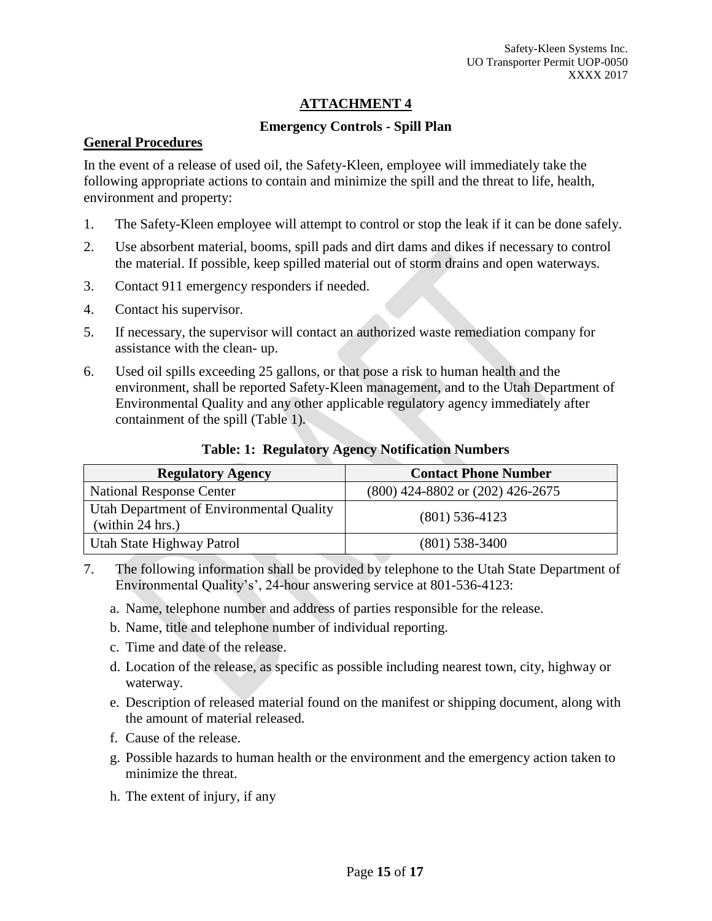#### **Emergency Controls - Spill Plan**

#### **General Procedures**

In the event of a release of used oil, the Safety-Kleen, employee will immediately take the following appropriate actions to contain and minimize the spill and the threat to life, health, environment and property:

- 1. The Safety-Kleen employee will attempt to control or stop the leak if it can be done safely.
- 2. Use absorbent material, booms, spill pads and dirt dams and dikes if necessary to control the material. If possible, keep spilled material out of storm drains and open waterways.
- 3. Contact 911 emergency responders if needed.
- 4. Contact his supervisor.
- 5. If necessary, the supervisor will contact an authorized waste remediation company for assistance with the clean- up.
- 6. Used oil spills exceeding 25 gallons, or that pose a risk to human health and the environment, shall be reported Safety-Kleen management, and to the Utah Department of Environmental Quality and any other applicable regulatory agency immediately after containment of the spill (Table 1).

#### **Table: 1: Regulatory Agency Notification Numbers**

| <b>Regulatory Agency</b>                                     | <b>Contact Phone Number</b>          |
|--------------------------------------------------------------|--------------------------------------|
| <b>National Response Center</b>                              | $(800)$ 424-8802 or $(202)$ 426-2675 |
| Utah Department of Environmental Quality<br>(within 24 hrs.) | $(801)$ 536-4123                     |
| Utah State Highway Patrol                                    | $(801)$ 538-3400                     |

- 7. The following information shall be provided by telephone to the Utah State Department of Environmental Quality's', 24-hour answering service at 801-536-4123:
	- a. Name, telephone number and address of parties responsible for the release.
	- b. Name, title and telephone number of individual reporting.
	- c. Time and date of the release.
	- d. Location of the release, as specific as possible including nearest town, city, highway or waterway.
	- e. Description of released material found on the manifest or shipping document, along with the amount of material released.
	- f. Cause of the release.
	- g. Possible hazards to human health or the environment and the emergency action taken to minimize the threat.
	- h. The extent of injury, if any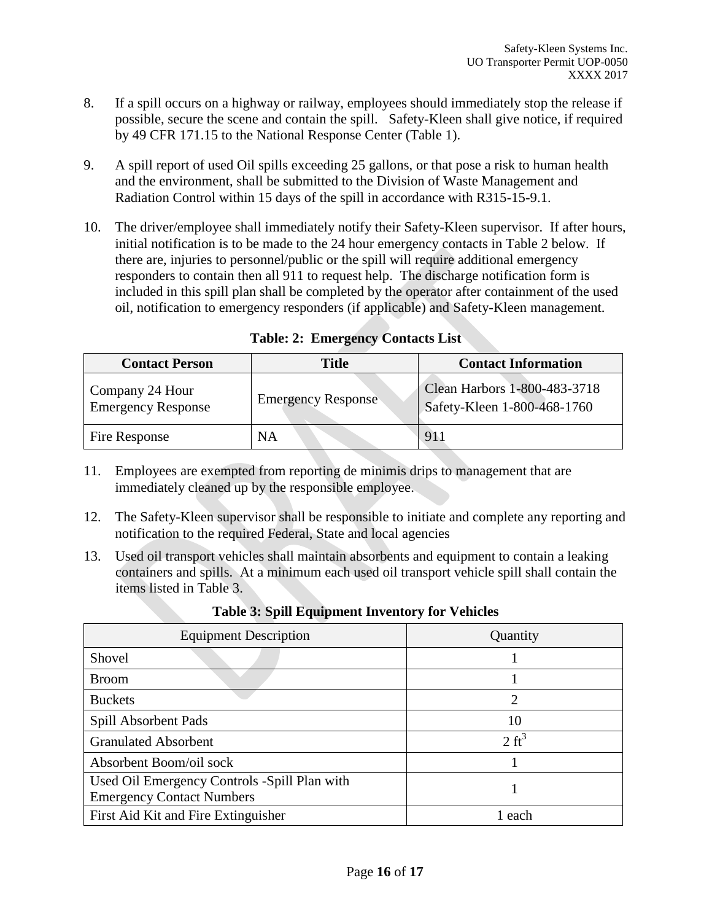- 8. If a spill occurs on a highway or railway, employees should immediately stop the release if possible, secure the scene and contain the spill. Safety-Kleen shall give notice, if required by 49 CFR 171.15 to the National Response Center (Table 1).
- 9. A spill report of used Oil spills exceeding 25 gallons, or that pose a risk to human health and the environment, shall be submitted to the Division of Waste Management and Radiation Control within 15 days of the spill in accordance with R315-15-9.1.
- 10. The driver/employee shall immediately notify their Safety-Kleen supervisor. If after hours, initial notification is to be made to the 24 hour emergency contacts in Table 2 below. If there are, injuries to personnel/public or the spill will require additional emergency responders to contain then all 911 to request help. The discharge notification form is included in this spill plan shall be completed by the operator after containment of the used oil, notification to emergency responders (if applicable) and Safety-Kleen management.

| <b>Contact Person</b>                        | <b>Title</b>              | <b>Contact Information</b>                                  |
|----------------------------------------------|---------------------------|-------------------------------------------------------------|
| Company 24 Hour<br><b>Emergency Response</b> | <b>Emergency Response</b> | Clean Harbors 1-800-483-3718<br>Safety-Kleen 1-800-468-1760 |
| Fire Response                                | ΝA                        | 91                                                          |

**Table: 2: Emergency Contacts List**

- 11. Employees are exempted from reporting de minimis drips to management that are immediately cleaned up by the responsible employee.
- 12. The Safety-Kleen supervisor shall be responsible to initiate and complete any reporting and notification to the required Federal, State and local agencies
- 13. Used oil transport vehicles shall maintain absorbents and equipment to contain a leaking containers and spills. At a minimum each used oil transport vehicle spill shall contain the items listed in Table 3.

| <b>Equipment Description</b>                                                     | Quantity         |
|----------------------------------------------------------------------------------|------------------|
| Shovel                                                                           |                  |
| <b>Broom</b>                                                                     |                  |
| <b>Buckets</b>                                                                   | $\overline{2}$   |
| Spill Absorbent Pads                                                             | 10               |
| <b>Granulated Absorbent</b>                                                      | $2 \text{ ft}^3$ |
| Absorbent Boom/oil sock                                                          |                  |
| Used Oil Emergency Controls -Spill Plan with<br><b>Emergency Contact Numbers</b> |                  |
| First Aid Kit and Fire Extinguisher                                              | 1 each           |

**Table 3: Spill Equipment Inventory for Vehicles**